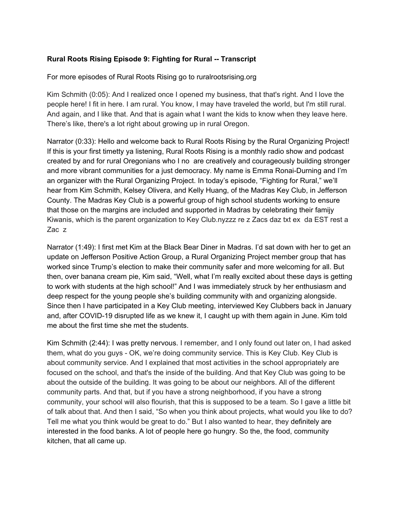## **Rural Roots Rising Episode 9: Fighting for Rural -- Transcript**

For more episodes of Rural Roots Rising go to ruralrootsrising.org

Kim Schmith (0:05): And I realized once I opened my business, that that's right. And I love the people here! I fit in here. I am rural. You know, I may have traveled the world, but I'm still rural. And again, and I like that. And that is again what I want the kids to know when they leave here. There's like, there's a lot right about growing up in rural Oregon.

Narrator (0:33): Hello and welcome back to Rural Roots Rising by the Rural Organizing Project! If this is your first timetty ya listening, Rural Roots Rising is a monthly radio show and podcast created by and for rural Oregonians who I no are creatively and courageously building stronger and more vibrant communities for a just democracy. My name is Emma Ronai-Durning and I'm an organizer with the Rural Organizing Project. In today's episode, "Fighting for Rural," we'll hear from Kim Schmith, Kelsey Olivera, and Kelly Huang, of the Madras Key Club, in Jefferson County. The Madras Key Club is a powerful group of high school students working to ensure that those on the margins are included and supported in Madras by celebrating their famijy Kiwanis, which is the parent organization to Key Club.nyzzz re z Zacs daz txt ex da EST rest a Zac z

Narrator (1:49): I first met Kim at the Black Bear Diner in Madras. I'd sat down with her to get an update on Jefferson Positive Action Group, a Rural Organizing Project member group that has worked since Trump's election to make their community safer and more welcoming for all. But then, over banana cream pie, Kim said, "Well, what I'm really excited about these days is getting to work with students at the high school!" And I was immediately struck by her enthusiasm and deep respect for the young people she's building community with and organizing alongside. Since then I have participated in a Key Club meeting, interviewed Key Clubbers back in January and, after COVID-19 disrupted life as we knew it, I caught up with them again in June. Kim told me about the first time she met the students.

Kim Schmith (2:44): I was pretty nervous. I remember, and I only found out later on, I had asked them, what do you guys - OK, we're doing community service. This is Key Club. Key Club is about community service. And I explained that most activities in the school appropriately are focused on the school, and that's the inside of the building. And that Key Club was going to be about the outside of the building. It was going to be about our neighbors. All of the different community parts. And that, but if you have a strong neighborhood, if you have a strong community, your school will also flourish, that this is supposed to be a team. So I gave a little bit of talk about that. And then I said, "So when you think about projects, what would you like to do? Tell me what you think would be great to do." But I also wanted to hear, they definitely are interested in the food banks. A lot of people here go hungry. So the, the food, community kitchen, that all came up.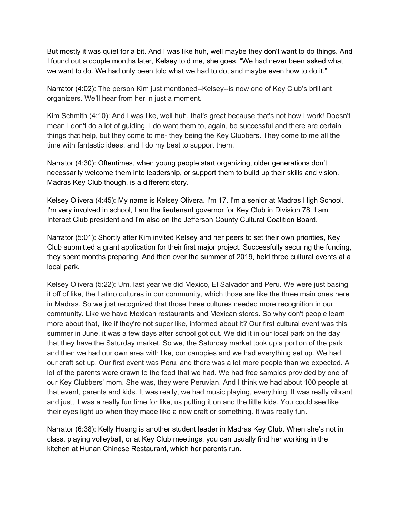But mostly it was quiet for a bit. And I was like huh, well maybe they don't want to do things. And I found out a couple months later, Kelsey told me, she goes, "We had never been asked what we want to do. We had only been told what we had to do, and maybe even how to do it."

Narrator (4:02): The person Kim just mentioned--Kelsey--is now one of Key Club's brilliant organizers. We'll hear from her in just a moment.

Kim Schmith (4:10): And I was like, well huh, that's great because that's not how I work! Doesn't mean I don't do a lot of guiding. I do want them to, again, be successful and there are certain things that help, but they come to me- they being the Key Clubbers. They come to me all the time with fantastic ideas, and I do my best to support them.

Narrator (4:30): Oftentimes, when young people start organizing, older generations don't necessarily welcome them into leadership, or support them to build up their skills and vision. Madras Key Club though, is a different story.

Kelsey Olivera (4:45): My name is Kelsey Olivera. I'm 17. I'm a senior at Madras High School. I'm very involved in school, I am the lieutenant governor for Key Club in Division 78. I am Interact Club president and I'm also on the Jefferson County Cultural Coalition Board.

Narrator (5:01): Shortly after Kim invited Kelsey and her peers to set their own priorities, Key Club submitted a grant application for their first major project. Successfully securing the funding, they spent months preparing. And then over the summer of 2019, held three cultural events at a local park.

Kelsey Olivera (5:22): Um, last year we did Mexico, El Salvador and Peru. We were just basing it off of like, the Latino cultures in our community, which those are like the three main ones here in Madras. So we just recognized that those three cultures needed more recognition in our community. Like we have Mexican restaurants and Mexican stores. So why don't people learn more about that, like if they're not super like, informed about it? Our first cultural event was this summer in June, it was a few days after school got out. We did it in our local park on the day that they have the Saturday market. So we, the Saturday market took up a portion of the park and then we had our own area with like, our canopies and we had everything set up. We had our craft set up. Our first event was Peru, and there was a lot more people than we expected. A lot of the parents were drawn to the food that we had. We had free samples provided by one of our Key Clubbers' mom. She was, they were Peruvian. And I think we had about 100 people at that event, parents and kids. It was really, we had music playing, everything. It was really vibrant and just, it was a really fun time for like, us putting it on and the little kids. You could see like their eyes light up when they made like a new craft or something. It was really fun.

Narrator (6:38): Kelly Huang is another student leader in Madras Key Club. When she's not in class, playing volleyball, or at Key Club meetings, you can usually find her working in the kitchen at Hunan Chinese Restaurant, which her parents run.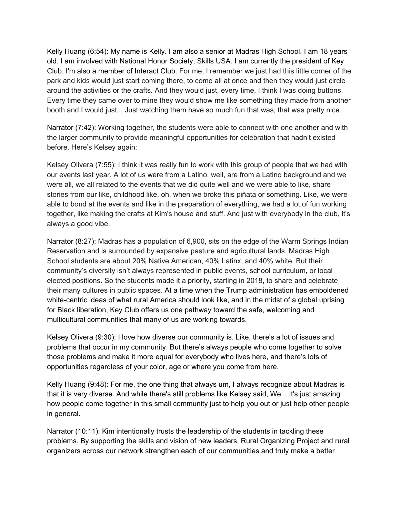Kelly Huang (6:54): My name is Kelly. I am also a senior at Madras High School. I am 18 years old. I am involved with National Honor Society, Skills USA. I am currently the president of Key Club. I'm also a member of Interact Club. For me, I remember we just had this little corner of the park and kids would just start coming there, to come all at once and then they would just circle around the activities or the crafts. And they would just, every time, I think I was doing buttons. Every time they came over to mine they would show me like something they made from another booth and I would just... Just watching them have so much fun that was, that was pretty nice.

Narrator (7:42): Working together, the students were able to connect with one another and with the larger community to provide meaningful opportunities for celebration that hadn't existed before. Here's Kelsey again:

Kelsey Olivera (7:55): I think it was really fun to work with this group of people that we had with our events last year. A lot of us were from a Latino, well, are from a Latino background and we were all, we all related to the events that we did quite well and we were able to like, share stories from our like, childhood like, oh, when we broke this piñata or something. Like, we were able to bond at the events and like in the preparation of everything, we had a lot of fun working together, like making the crafts at Kim's house and stuff. And just with everybody in the club, it's always a good vibe.

Narrator (8:27): Madras has a population of 6,900, sits on the edge of the Warm Springs Indian Reservation and is surrounded by expansive pasture and agricultural lands. Madras High School students are about 20% Native American, 40% Latinx, and 40% white. But their community's diversity isn't always represented in public events, school curriculum, or local elected positions. So the students made it a priority, starting in 2018, to share and celebrate their many cultures in public spaces. At a time when the Trump administration has emboldened white-centric ideas of what rural America should look like, and in the midst of a global uprising for Black liberation, Key Club offers us one pathway toward the safe, welcoming and multicultural communities that many of us are working towards.

Kelsey Olivera (9:30): I love how diverse our community is. Like, there's a lot of issues and problems that occur in my community. But there's always people who come together to solve those problems and make it more equal for everybody who lives here, and there's lots of opportunities regardless of your color, age or where you come from here.

Kelly Huang (9:48): For me, the one thing that always um, I always recognize about Madras is that it is very diverse. And while there's still problems like Kelsey said, We... It's just amazing how people come together in this small community just to help you out or just help other people in general.

Narrator (10:11): Kim intentionally trusts the leadership of the students in tackling these problems. By supporting the skills and vision of new leaders, Rural Organizing Project and rural organizers across our network strengthen each of our communities and truly make a better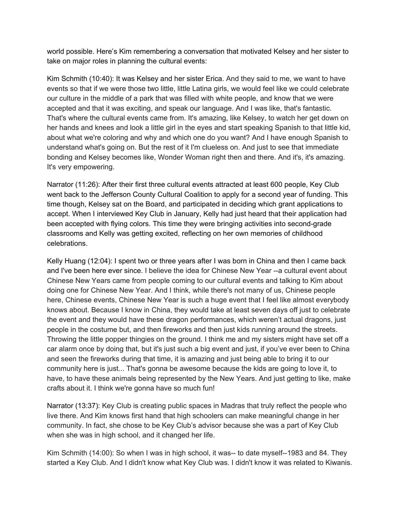world possible. Here's Kim remembering a conversation that motivated Kelsey and her sister to take on major roles in planning the cultural events:

Kim Schmith (10:40): It was Kelsey and her sister Erica. And they said to me, we want to have events so that if we were those two little, little Latina girls, we would feel like we could celebrate our culture in the middle of a park that was filled with white people, and know that we were accepted and that it was exciting, and speak our language. And I was like, that's fantastic. That's where the cultural events came from. It's amazing, like Kelsey, to watch her get down on her hands and knees and look a little girl in the eyes and start speaking Spanish to that little kid, about what we're coloring and why and which one do you want? And I have enough Spanish to understand what's going on. But the rest of it I'm clueless on. And just to see that immediate bonding and Kelsey becomes like, Wonder Woman right then and there. And it's, it's amazing. It's very empowering.

Narrator (11:26): After their first three cultural events attracted at least 600 people, Key Club went back to the Jefferson County Cultural Coalition to apply for a second year of funding. This time though, Kelsey sat on the Board, and participated in deciding which grant applications to accept. When I interviewed Key Club in January, Kelly had just heard that their application had been accepted with flying colors. This time they were bringing activities into second-grade classrooms and Kelly was getting excited, reflecting on her own memories of childhood celebrations.

Kelly Huang (12:04): I spent two or three years after I was born in China and then I came back and I've been here ever since. I believe the idea for Chinese New Year --a cultural event about Chinese New Years came from people coming to our cultural events and talking to Kim about doing one for Chinese New Year. And I think, while there's not many of us, Chinese people here, Chinese events, Chinese New Year is such a huge event that I feel like almost everybody knows about. Because I know in China, they would take at least seven days off just to celebrate the event and they would have these dragon performances, which weren't actual dragons, just people in the costume but, and then fireworks and then just kids running around the streets. Throwing the little popper thingies on the ground. I think me and my sisters might have set off a car alarm once by doing that, but it's just such a big event and just, if you've ever been to China and seen the fireworks during that time, it is amazing and just being able to bring it to our community here is just... That's gonna be awesome because the kids are going to love it, to have, to have these animals being represented by the New Years. And just getting to like, make crafts about it. I think we're gonna have so much fun!

Narrator (13:37): Key Club is creating public spaces in Madras that truly reflect the people who live there. And Kim knows first hand that high schoolers can make meaningful change in her community. In fact, she chose to be Key Club's advisor because she was a part of Key Club when she was in high school, and it changed her life.

Kim Schmith (14:00): So when I was in high school, it was-- to date myself--1983 and 84. They started a Key Club. And I didn't know what Key Club was. I didn't know it was related to Kiwanis.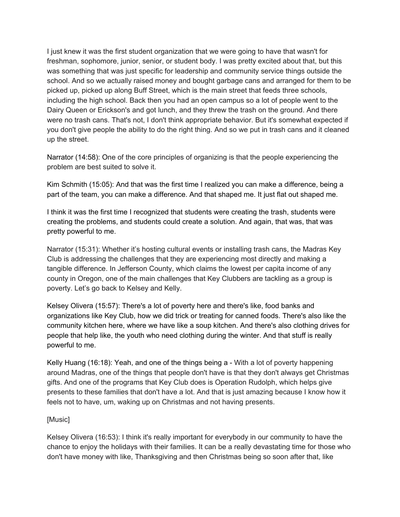I just knew it was the first student organization that we were going to have that wasn't for freshman, sophomore, junior, senior, or student body. I was pretty excited about that, but this was something that was just specific for leadership and community service things outside the school. And so we actually raised money and bought garbage cans and arranged for them to be picked up, picked up along Buff Street, which is the main street that feeds three schools, including the high school. Back then you had an open campus so a lot of people went to the Dairy Queen or Erickson's and got lunch, and they threw the trash on the ground. And there were no trash cans. That's not, I don't think appropriate behavior. But it's somewhat expected if you don't give people the ability to do the right thing. And so we put in trash cans and it cleaned up the street.

Narrator (14:58): One of the core principles of organizing is that the people experiencing the problem are best suited to solve it.

Kim Schmith (15:05): And that was the first time I realized you can make a difference, being a part of the team, you can make a difference. And that shaped me. It just flat out shaped me.

I think it was the first time I recognized that students were creating the trash, students were creating the problems, and students could create a solution. And again, that was, that was pretty powerful to me.

Narrator (15:31): Whether it's hosting cultural events or installing trash cans, the Madras Key Club is addressing the challenges that they are experiencing most directly and making a tangible difference. In Jefferson County, which claims the lowest per capita income of any county in Oregon, one of the main challenges that Key Clubbers are tackling as a group is poverty. Let's go back to Kelsey and Kelly.

Kelsey Olivera (15:57): There's a lot of poverty here and there's like, food banks and organizations like Key Club, how we did trick or treating for canned foods. There's also like the community kitchen here, where we have like a soup kitchen. And there's also clothing drives for people that help like, the youth who need clothing during the winter. And that stuff is really powerful to me.

Kelly Huang (16:18): Yeah, and one of the things being a - With a lot of poverty happening around Madras, one of the things that people don't have is that they don't always get Christmas gifts. And one of the programs that Key Club does is Operation Rudolph, which helps give presents to these families that don't have a lot. And that is just amazing because I know how it feels not to have, um, waking up on Christmas and not having presents.

## [Music]

Kelsey Olivera (16:53): I think it's really important for everybody in our community to have the chance to enjoy the holidays with their families. It can be a really devastating time for those who don't have money with like, Thanksgiving and then Christmas being so soon after that, like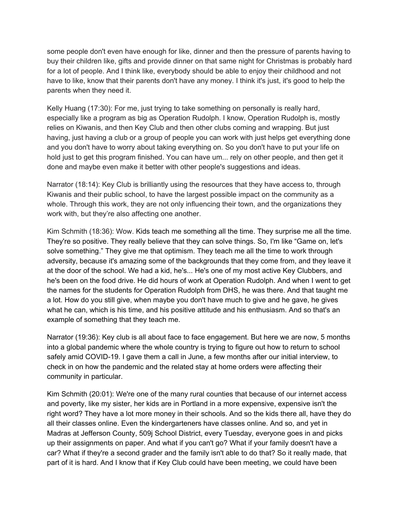some people don't even have enough for like, dinner and then the pressure of parents having to buy their children like, gifts and provide dinner on that same night for Christmas is probably hard for a lot of people. And I think like, everybody should be able to enjoy their childhood and not have to like, know that their parents don't have any money. I think it's just, it's good to help the parents when they need it.

Kelly Huang (17:30): For me, just trying to take something on personally is really hard, especially like a program as big as Operation Rudolph. I know, Operation Rudolph is, mostly relies on Kiwanis, and then Key Club and then other clubs coming and wrapping. But just having, just having a club or a group of people you can work with just helps get everything done and you don't have to worry about taking everything on. So you don't have to put your life on hold just to get this program finished. You can have um... rely on other people, and then get it done and maybe even make it better with other people's suggestions and ideas.

Narrator (18:14): Key Club is brilliantly using the resources that they have access to, through Kiwanis and their public school, to have the largest possible impact on the community as a whole. Through this work, they are not only influencing their town, and the organizations they work with, but they're also affecting one another.

Kim Schmith (18:36): Wow. Kids teach me something all the time. They surprise me all the time. They're so positive. They really believe that they can solve things. So, I'm like "Game on, let's solve something." They give me that optimism. They teach me all the time to work through adversity, because it's amazing some of the backgrounds that they come from, and they leave it at the door of the school. We had a kid, he's... He's one of my most active Key Clubbers, and he's been on the food drive. He did hours of work at Operation Rudolph. And when I went to get the names for the students for Operation Rudolph from DHS, he was there. And that taught me a lot. How do you still give, when maybe you don't have much to give and he gave, he gives what he can, which is his time, and his positive attitude and his enthusiasm. And so that's an example of something that they teach me.

Narrator (19:36): Key club is all about face to face engagement. But here we are now, 5 months into a global pandemic where the whole country is trying to figure out how to return to school safely amid COVID-19. I gave them a call in June, a few months after our initial interview, to check in on how the pandemic and the related stay at home orders were affecting their community in particular.

Kim Schmith (20:01): We're one of the many rural counties that because of our internet access and poverty, like my sister, her kids are in Portland in a more expensive, expensive isn't the right word? They have a lot more money in their schools. And so the kids there all, have they do all their classes online. Even the kindergarteners have classes online. And so, and yet in Madras at Jefferson County, 509j School District, every Tuesday, everyone goes in and picks up their assignments on paper. And what if you can't go? What if your family doesn't have a car? What if they're a second grader and the family isn't able to do that? So it really made, that part of it is hard. And I know that if Key Club could have been meeting, we could have been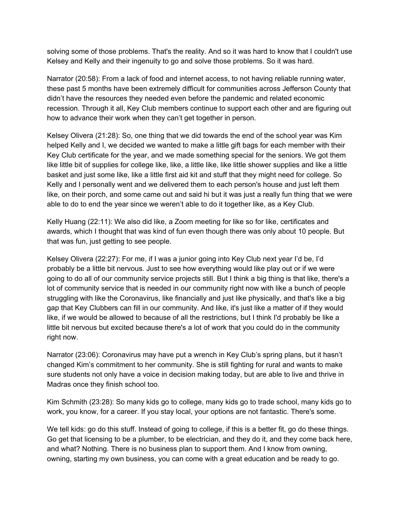solving some of those problems. That's the reality. And so it was hard to know that I couldn't use Kelsey and Kelly and their ingenuity to go and solve those problems. So it was hard.

Narrator (20:58): From a lack of food and internet access, to not having reliable running water, these past 5 months have been extremely difficult for communities across Jefferson County that didn't have the resources they needed even before the pandemic and related economic recession. Through it all, Key Club members continue to support each other and are figuring out how to advance their work when they can't get together in person.

Kelsey Olivera (21:28): So, one thing that we did towards the end of the school year was Kim helped Kelly and I, we decided we wanted to make a little gift bags for each member with their Key Club certificate for the year, and we made something special for the seniors. We got them like little bit of supplies for college like, like, a little like, like little shower supplies and like a little basket and just some like, like a little first aid kit and stuff that they might need for college. So Kelly and I personally went and we delivered them to each person's house and just left them like, on their porch, and some came out and said hi but it was just a really fun thing that we were able to do to end the year since we weren't able to do it together like, as a Key Club.

Kelly Huang (22:11): We also did like, a Zoom meeting for like so for like, certificates and awards, which I thought that was kind of fun even though there was only about 10 people. But that was fun, just getting to see people.

Kelsey Olivera (22:27): For me, if I was a junior going into Key Club next year I'd be, I'd probably be a little bit nervous. Just to see how everything would like play out or if we were going to do all of our community service projects still. But I think a big thing is that like, there's a lot of community service that is needed in our community right now with like a bunch of people struggling with like the Coronavirus, like financially and just like physically, and that's like a big gap that Key Clubbers can fill in our community. And like, it's just like a matter of if they would like, if we would be allowed to because of all the restrictions, but I think I'd probably be like a little bit nervous but excited because there's a lot of work that you could do in the community right now.

Narrator (23:06): Coronavirus may have put a wrench in Key Club's spring plans, but it hasn't changed Kim's commitment to her community. She is still fighting for rural and wants to make sure students not only have a voice in decision making today, but are able to live and thrive in Madras once they finish school too.

Kim Schmith (23:28): So many kids go to college, many kids go to trade school, many kids go to work, you know, for a career. If you stay local, your options are not fantastic. There's some.

We tell kids: go do this stuff. Instead of going to college, if this is a better fit, go do these things. Go get that licensing to be a plumber, to be electrician, and they do it, and they come back here, and what? Nothing. There is no business plan to support them. And I know from owning, owning, starting my own business, you can come with a great education and be ready to go.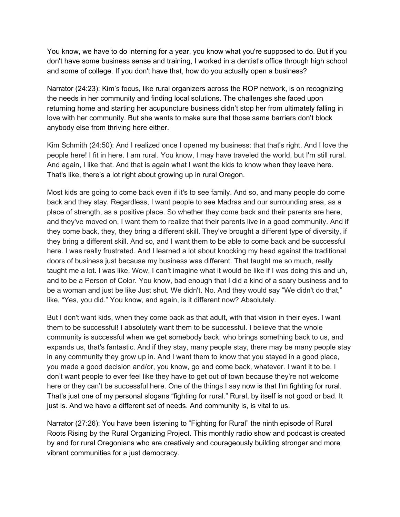You know, we have to do interning for a year, you know what you're supposed to do. But if you don't have some business sense and training, I worked in a dentist's office through high school and some of college. If you don't have that, how do you actually open a business?

Narrator (24:23): Kim's focus, like rural organizers across the ROP network, is on recognizing the needs in her community and finding local solutions. The challenges she faced upon returning home and starting her acupuncture business didn't stop her from ultimately falling in love with her community. But she wants to make sure that those same barriers don't block anybody else from thriving here either.

Kim Schmith (24:50): And I realized once I opened my business: that that's right. And I love the people here! I fit in here. I am rural. You know, I may have traveled the world, but I'm still rural. And again, I like that. And that is again what I want the kids to know when they leave here. That's like, there's a lot right about growing up in rural Oregon.

Most kids are going to come back even if it's to see family. And so, and many people do come back and they stay. Regardless, I want people to see Madras and our surrounding area, as a place of strength, as a positive place. So whether they come back and their parents are here, and they've moved on, I want them to realize that their parents live in a good community. And if they come back, they, they bring a different skill. They've brought a different type of diversity, if they bring a different skill. And so, and I want them to be able to come back and be successful here. I was really frustrated. And I learned a lot about knocking my head against the traditional doors of business just because my business was different. That taught me so much, really taught me a lot. I was like, Wow, I can't imagine what it would be like if I was doing this and uh, and to be a Person of Color. You know, bad enough that I did a kind of a scary business and to be a woman and just be like Just shut. We didn't. No. And they would say "We didn't do that," like, "Yes, you did." You know, and again, is it different now? Absolutely.

But I don't want kids, when they come back as that adult, with that vision in their eyes. I want them to be successful! I absolutely want them to be successful. I believe that the whole community is successful when we get somebody back, who brings something back to us, and expands us, that's fantastic. And if they stay, many people stay, there may be many people stay in any community they grow up in. And I want them to know that you stayed in a good place, you made a good decision and/or, you know, go and come back, whatever. I want it to be. I don't want people to ever feel like they have to get out of town because they're not welcome here or they can't be successful here. One of the things I say now is that I'm fighting for rural. That's just one of my personal slogans "fighting for rural." Rural, by itself is not good or bad. It just is. And we have a different set of needs. And community is, is vital to us.

Narrator (27:26): You have been listening to "Fighting for Rural" the ninth episode of Rural Roots Rising by the Rural Organizing Project. This monthly radio show and podcast is created by and for rural Oregonians who are creatively and courageously building stronger and more vibrant communities for a just democracy.